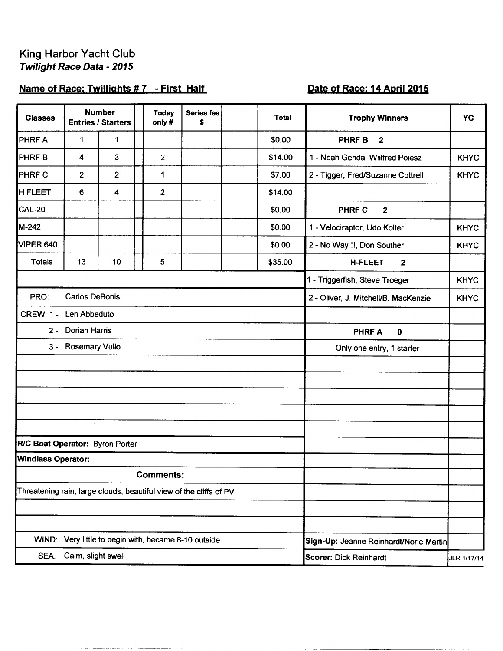## Name of Race: Twillights #7 - First Half

## Date of Race: 14 April 2015

| <b>Classes</b>                                                     |                         | <b>Number</b><br><b>Entries / Starters</b> | <b>Today</b><br>only#                          | Series fee<br>\$ |                           | <b>Total</b> | <b>Trophy Winners</b>                  | <b>YC</b>   |
|--------------------------------------------------------------------|-------------------------|--------------------------------------------|------------------------------------------------|------------------|---------------------------|--------------|----------------------------------------|-------------|
| <b>PHRFA</b>                                                       | 1                       | 1                                          |                                                |                  |                           | \$0.00       | <b>PHRFB</b><br>$\mathbf{2}$           |             |
| <b>PHRFB</b>                                                       | 4                       | 3                                          | $\overline{2}$                                 |                  |                           | \$14.00      | 1 - Noah Genda, Wiilfred Poiesz        | <b>KHYC</b> |
| <b>PHRF C</b>                                                      | $\overline{2}$          | $\overline{2}$                             | 1                                              |                  |                           | \$7.00       | 2 - Tigger, Fred/Suzanne Cottrell      | <b>KHYC</b> |
| <b>H FLEET</b>                                                     | 6                       | $\overline{\mathbf{4}}$                    | $\overline{2}$                                 |                  |                           | \$14.00      |                                        |             |
| CAL-20                                                             |                         |                                            |                                                |                  |                           | \$0.00       | PHRF C<br>$\mathbf{2}$                 |             |
| M-242                                                              |                         |                                            |                                                |                  |                           | \$0.00       | 1 - Velociraptor, Udo Kolter           | <b>KHYC</b> |
| VIPER 640                                                          |                         |                                            |                                                |                  |                           | \$0.00       | 2 - No Way !!, Don Souther             | <b>KHYC</b> |
| <b>Totals</b>                                                      | 13                      | 10                                         | 5                                              |                  |                           | \$35.00      | <b>H-FLEET</b><br>$\mathbf{2}$         |             |
|                                                                    |                         |                                            |                                                |                  |                           |              | 1 - Triggerfish, Steve Troeger         | <b>KHYC</b> |
| PRO:<br><b>Carlos DeBonis</b>                                      |                         |                                            |                                                |                  |                           |              | 2 - Oliver, J. Mitchell/B. MacKenzie   | <b>KHYC</b> |
| <b>CREW: 1 -</b>                                                   | Len Abbeduto            |                                            |                                                |                  |                           |              |                                        |             |
| 2 - Dorian Harris                                                  |                         |                                            |                                                |                  |                           |              | <b>PHRFA</b><br>$\mathbf 0$            |             |
|                                                                    | 3 - Rosemary Vullo      |                                            |                                                |                  | Only one entry, 1 starter |              |                                        |             |
|                                                                    |                         |                                            |                                                |                  |                           |              |                                        |             |
|                                                                    |                         |                                            |                                                |                  |                           |              |                                        |             |
|                                                                    |                         |                                            |                                                |                  |                           |              |                                        |             |
|                                                                    |                         |                                            |                                                |                  |                           |              |                                        |             |
| R/C Boat Operator: Byron Porter                                    |                         |                                            |                                                |                  |                           |              |                                        |             |
| <b>Windlass Operator:</b>                                          |                         |                                            |                                                |                  |                           |              |                                        |             |
|                                                                    |                         |                                            | <b>Comments:</b>                               |                  |                           |              |                                        |             |
| Threatening rain, large clouds, beautiful view of the cliffs of PV |                         |                                            |                                                |                  |                           |              |                                        |             |
|                                                                    |                         |                                            |                                                |                  |                           |              |                                        |             |
|                                                                    |                         |                                            |                                                |                  |                           |              |                                        |             |
| WIND:                                                              |                         |                                            | Very little to begin with, became 8-10 outside |                  |                           |              | Sign-Up: Jeanne Reinhardt/Norie Martin |             |
|                                                                    | SEA: Calm, slight swell |                                            |                                                |                  |                           |              | <b>Scorer: Dick Reinhardt</b>          | JLR 1/17/14 |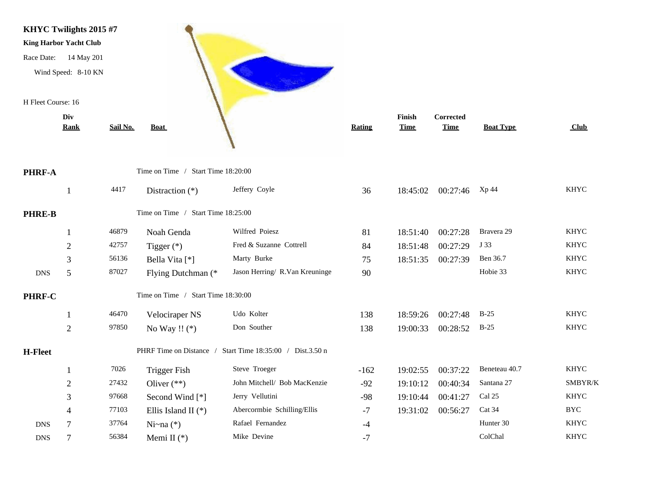

PHRF-A

PHRE-B

PHRF-C

|                | <b>Rank</b>    | Sail No. | <b>Boat</b>                        |                                                           | Rating | <b>Time</b> | <b>Time</b> | <b>Boat Type</b> | Club        |
|----------------|----------------|----------|------------------------------------|-----------------------------------------------------------|--------|-------------|-------------|------------------|-------------|
| PHRF-A         |                |          | Time on Time / Start Time 18:20:00 |                                                           |        |             |             |                  |             |
|                |                | 4417     | Distraction $(*)$                  | Jeffery Coyle                                             | 36     | 18:45:02    | 00:27:46    | Xp 44            | <b>KHYC</b> |
| <b>PHRE-B</b>  |                |          | Time on Time / Start Time 18:25:00 |                                                           |        |             |             |                  |             |
|                |                | 46879    | Noah Genda                         | Wilfred Poiesz                                            | 81     | 18:51:40    | 00:27:28    | Bravera 29       | <b>KHYC</b> |
|                | $\overline{2}$ | 42757    | Tigger $(*)$                       | Fred & Suzanne Cottrell                                   | 84     | 18:51:48    | 00:27:29    | J 33             | <b>KHYC</b> |
|                | 3              | 56136    | Bella Vita [*]                     | Marty Burke                                               | 75     | 18:51:35    | 00:27:39    | Ben 36.7         | <b>KHYC</b> |
| <b>DNS</b>     | 5              | 87027    | Flying Dutchman (*                 | Jason Herring/ R.Van Kreuninge                            | 90     |             |             | Hobie 33         | <b>KHYC</b> |
| <b>PHRF-C</b>  |                |          | Time on Time / Start Time 18:30:00 |                                                           |        |             |             |                  |             |
|                |                | 46470    | Velociraper NS                     | Udo Kolter                                                | 138    | 18:59:26    | 00:27:48    | $B-25$           | <b>KHYC</b> |
|                | $\overline{2}$ | 97850    | No Way !! $(*)$                    | Don Souther                                               | 138    | 19:00:33    | 00:28:52    | $B-25$           | <b>KHYC</b> |
| <b>H-Fleet</b> |                |          |                                    | PHRF Time on Distance / Start Time 18:35:00 / Dist.3.50 n |        |             |             |                  |             |
|                |                | 7026     | Trigger Fish                       | Steve Troeger                                             | $-162$ | 19:02:55    | 00:37:22    | Beneteau 40.7    | <b>KHYC</b> |
|                | 2              | 27432    | Oliver $(**)$                      | John Mitchell/ Bob MacKenzie                              | $-92$  | 19:10:12    | 00:40:34    | Santana 27       | SMBYR/K     |
|                | 3              | 97668    | Second Wind [*]                    | Jerry Vellutini                                           | $-98$  | 19:10:44    | 00:41:27    | Cal 25           | <b>KHYC</b> |
|                | 4              | 77103    | Ellis Island II $(*)$              | Abercormbie Schilling/Ellis                               | $-7$   | 19:31:02    | 00:56:27    | Cat 34           | <b>BYC</b>  |
| <b>DNS</b>     |                | 37764    | Ni~na $(*)$                        | Rafael Fernandez                                          | $-4$   |             |             | Hunter 30        | <b>KHYC</b> |
| <b>DNS</b>     |                | 56384    | Memi II $(*)$                      | Mike Devine                                               | $-7$   |             |             | ColChal          | <b>KHYC</b> |